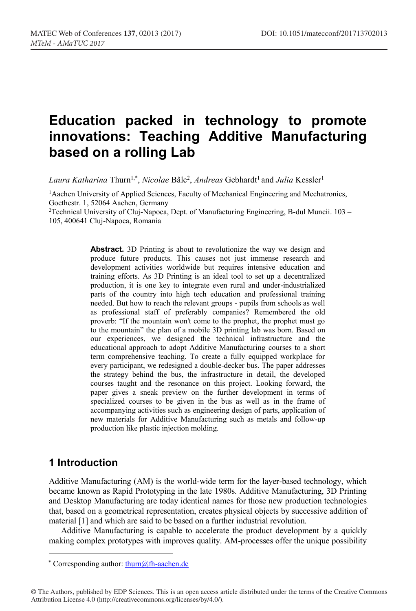# **Education packed in technology to promote innovations: Teaching Additive Manufacturing based on a rolling Lab**

*Laura Katharina* Thurn1,\* , *Nicolae* Bâlc2 , *Andreas* Gebhardt1 and *Julia* Kessler1

1Aachen University of Applied Sciences, Faculty of Mechanical Engineering and Mechatronics, Goethestr. 1, 52064 Aachen, Germany

<sup>2</sup>Technical University of Cluj-Napoca, Dept. of Manufacturing Engineering, B-dul Muncii.  $103 -$ 105, 400641 Cluj-Napoca, Romania

> **Abstract.** 3D Printing is about to revolutionize the way we design and produce future products. This causes not just immense research and development activities worldwide but requires intensive education and training efforts. As 3D Printing is an ideal tool to set up a decentralized production, it is one key to integrate even rural and under-industrialized parts of the country into high tech education and professional training needed. But how to reach the relevant groups - pupils from schools as well as professional staff of preferably companies? Remembered the old proverb: "If the mountain won't come to the prophet, the prophet must go to the mountain" the plan of a mobile 3D printing lab was born. Based on our experiences, we designed the technical infrastructure and the educational approach to adopt Additive Manufacturing courses to a short term comprehensive teaching. To create a fully equipped workplace for every participant, we redesigned a double-decker bus. The paper addresses the strategy behind the bus, the infrastructure in detail, the developed courses taught and the resonance on this project. Looking forward, the paper gives a sneak preview on the further development in terms of specialized courses to be given in the bus as well as in the frame of accompanying activities such as engineering design of parts, application of new materials for Additive Manufacturing such as metals and follow-up production like plastic injection molding.

## **1 Introduction**

Additive Manufacturing (AM) is the world-wide term for the layer-based technology, which became known as Rapid Prototyping in the late 1980s. Additive Manufacturing, 3D Printing and Desktop Manufacturing are today identical names for those new production technologies that, based on a geometrical representation, creates physical objects by successive addition of material [1] and which are said to be based on a further industrial revolution.

Additive Manufacturing is capable to accelerate the product development by a quickly making complex prototypes with improves quality. AM-processes offer the unique possibility

\* Corresponding author: **thurn@fh-aachen.de** 

<sup>©</sup> The Authors, published by EDP Sciences. This is an open access article distributed under the terms of the Creative Commons Attribution License 4.0 (http://creativecommons.org/licenses/by/4.0/).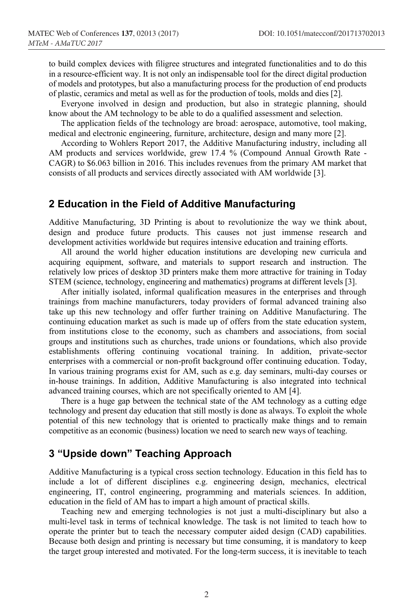to build complex devices with filigree structures and integrated functionalities and to do this in a resource-efficient way. It is not only an indispensable tool for the direct digital production of models and prototypes, but also a manufacturing process for the production of end products of plastic, ceramics and metal as well as for the production of tools, molds and dies [2].

Everyone involved in design and production, but also in strategic planning, should know about the AM technology to be able to do a qualified assessment and selection.

The application fields of the technology are broad: aerospace, automotive, tool making, medical and electronic engineering, furniture, architecture, design and many more [2].

According to Wohlers Report 2017, the Additive Manufacturing industry, including all AM products and services worldwide, grew 17.4 % (Compound Annual Growth Rate - CAGR) to \$6.063 billion in 2016. This includes revenues from the primary AM market that consists of all products and services directly associated with AM worldwide [3].

#### **2 Education in the Field of Additive Manufacturing**

Additive Manufacturing, 3D Printing is about to revolutionize the way we think about, design and produce future products. This causes not just immense research and development activities worldwide but requires intensive education and training efforts.

All around the world higher education institutions are developing new curricula and acquiring equipment, software, and materials to support research and instruction. The relatively low prices of desktop 3D printers make them more attractive for training in Today STEM (science, technology, engineering and mathematics) programs at different levels [3].

After initially isolated, informal qualification measures in the enterprises and through trainings from machine manufacturers, today providers of formal advanced training also take up this new technology and offer further training on Additive Manufacturing. The continuing education market as such is made up of offers from the state education system, from institutions close to the economy, such as chambers and associations, from social groups and institutions such as churches, trade unions or foundations, which also provide establishments offering continuing vocational training. In addition, private-sector enterprises with a commercial or non-profit background offer continuing education. Today, In various training programs exist for AM, such as e.g. day seminars, multi-day courses or in-house trainings. In addition, Additive Manufacturing is also integrated into technical advanced training courses, which are not specifically oriented to AM [4].

There is a huge gap between the technical state of the AM technology as a cutting edge technology and present day education that still mostly is done as always. To exploit the whole potential of this new technology that is oriented to practically make things and to remain competitive as an economic (business) location we need to search new ways of teaching.

# **3 "Upside down" Teaching Approach**

Additive Manufacturing is a typical cross section technology. Education in this field has to include a lot of different disciplines e.g. engineering design, mechanics, electrical engineering, IT, control engineering, programming and materials sciences. In addition, education in the field of AM has to impart a high amount of practical skills.

Teaching new and emerging technologies is not just a multi-disciplinary but also a multi-level task in terms of technical knowledge. The task is not limited to teach how to operate the printer but to teach the necessary computer aided design (CAD) capabilities. Because both design and printing is necessary but time consuming, it is mandatory to keep the target group interested and motivated. For the long-term success, it is inevitable to teach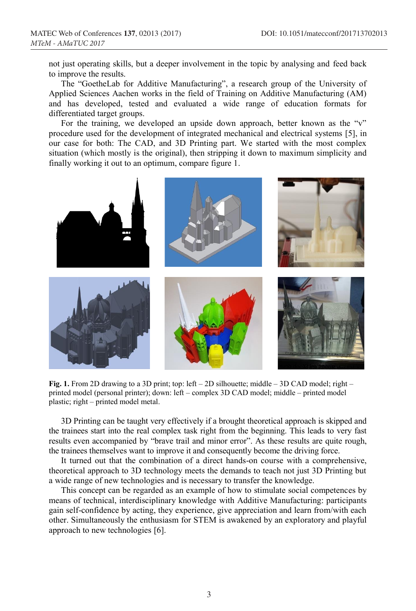not just operating skills, but a deeper involvement in the topic by analysing and feed back to improve the results.

The "GoetheLab for Additive Manufacturing", a research group of the University of Applied Sciences Aachen works in the field of Training on Additive Manufacturing (AM) and has developed, tested and evaluated a wide range of education formats for differentiated target groups.

For the training, we developed an upside down approach, better known as the "v" procedure used for the development of integrated mechanical and electrical systems [5], in our case for both: The CAD, and 3D Printing part. We started with the most complex situation (which mostly is the original), then stripping it down to maximum simplicity and finally working it out to an optimum, compare figure 1.



**Fig. 1.** From 2D drawing to a 3D print; top: left  $-$  2D silhouette; middle  $-$  3D CAD model; right  $$ printed model (personal printer); down: left – complex 3D CAD model; middle – printed model plastic; right – printed model metal.

3D Printing can be taught very effectively if a brought theoretical approach is skipped and the trainees start into the real complex task right from the beginning. This leads to very fast results even accompanied by "brave trail and minor error". As these results are quite rough, the trainees themselves want to improve it and consequently become the driving force.

It turned out that the combination of a direct hands-on course with a comprehensive, theoretical approach to 3D technology meets the demands to teach not just 3D Printing but a wide range of new technologies and is necessary to transfer the knowledge.

This concept can be regarded as an example of how to stimulate social competences by means of technical, interdisciplinary knowledge with Additive Manufacturing: participants gain self-confidence by acting, they experience, give appreciation and learn from/with each other. Simultaneously the enthusiasm for STEM is awakened by an exploratory and playful approach to new technologies [6].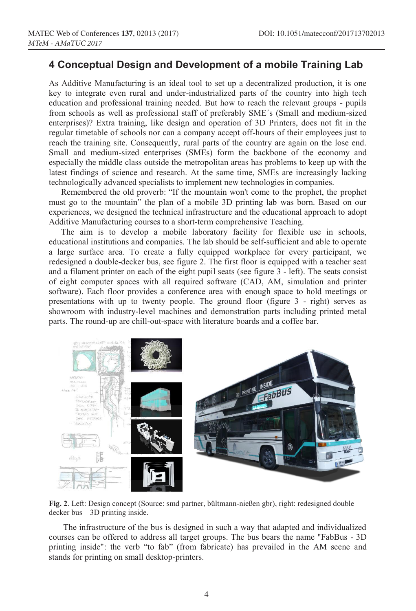# **4 Conceptual Design and Development of a mobile Training Lab**

As Additive Manufacturing is an ideal tool to set up a decentralized production, it is one key to integrate even rural and under-industrialized parts of the country into high tech education and professional training needed. But how to reach the relevant groups - pupils from schools as well as professional staff of preferably SME´s (Small and medium-sized enterprises)? Extra training, like design and operation of 3D Printers, does not fit in the regular timetable of schools nor can a company accept off-hours of their employees just to reach the training site. Consequently, rural parts of the country are again on the lose end. Small and medium-sized enterprises (SMEs) form the backbone of the economy and especially the middle class outside the metropolitan areas has problems to keep up with the latest findings of science and research. At the same time, SMEs are increasingly lacking technologically advanced specialists to implement new technologies in companies.

Remembered the old proverb: "If the mountain won't come to the prophet, the prophet must go to the mountain" the plan of a mobile 3D printing lab was born. Based on our experiences, we designed the technical infrastructure and the educational approach to adopt Additive Manufacturing courses to a short-term comprehensive Teaching.

The aim is to develop a mobile laboratory facility for flexible use in schools, educational institutions and companies. The lab should be self-sufficient and able to operate a large surface area. To create a fully equipped workplace for every participant, we redesigned a double-decker bus, see figure 2. The first floor is equipped with a teacher seat and a filament printer on each of the eight pupil seats (see figure 3 - left). The seats consist of eight computer spaces with all required software (CAD, AM, simulation and printer software). Each floor provides a conference area with enough space to hold meetings or presentations with up to twenty people. The ground floor (figure 3 - right) serves as showroom with industry-level machines and demonstration parts including printed metal parts. The round-up are chill-out-space with literature boards and a coffee bar.



**Fig. 2**. Left: Design concept (Source: smd partner, bültmann-nießen gbr), right: redesigned double decker bus – 3D printing inside.

The infrastructure of the bus is designed in such a way that adapted and individualized courses can be offered to address all target groups. The bus bears the name "FabBus - 3D printing inside": the verb "to fab" (from fabricate) has prevailed in the AM scene and stands for printing on small desktop-printers.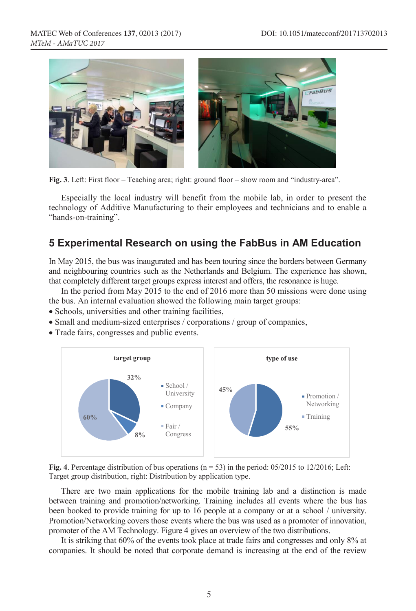

**Fig. 3**. Left: First floor – Teaching area; right: ground floor – show room and "industry-area".

Especially the local industry will benefit from the mobile lab, in order to present the technology of Additive Manufacturing to their employees and technicians and to enable a "hands-on-training".

## **5 Experimental Research on using the FabBus in AM Education**

In May 2015, the bus was inaugurated and has been touring since the borders between Germany and neighbouring countries such as the Netherlands and Belgium. The experience has shown, that completely different target groups express interest and offers, the resonance is huge.

In the period from May 2015 to the end of 2016 more than 50 missions were done using the bus. An internal evaluation showed the following main target groups:

- Schools, universities and other training facilities,
- Small and medium-sized enterprises / corporations / group of companies,
- Trade fairs, congresses and public events.



**Fig. 4**. Percentage distribution of bus operations  $(n = 53)$  in the period: 05/2015 to 12/2016; Left: Target group distribution, right: Distribution by application type.

There are two main applications for the mobile training lab and a distinction is made between training and promotion/networking. Training includes all events where the bus has been booked to provide training for up to 16 people at a company or at a school / university. Promotion/Networking covers those events where the bus was used as a promoter of innovation, promoter of the AM Technology. Figure 4 gives an overview of the two distributions.

It is striking that 60% of the events took place at trade fairs and congresses and only 8% at companies. It should be noted that corporate demand is increasing at the end of the review